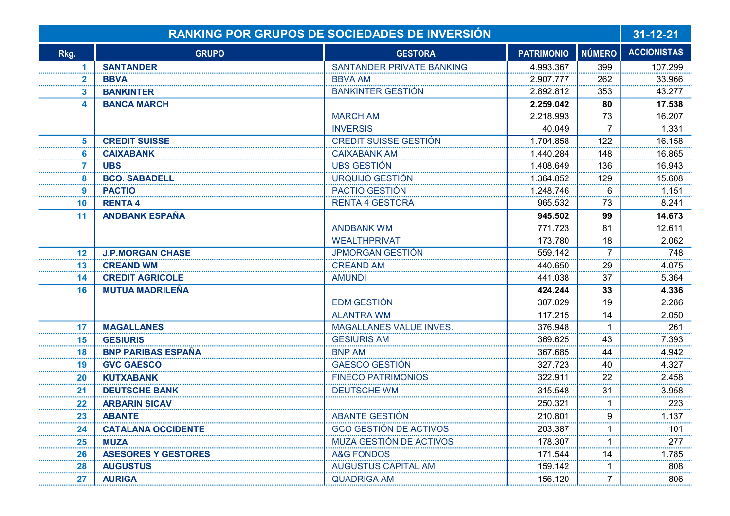|                         | RANKING POR GRUPOS DE SOCIEDADES DE INVERSIÓN |                                  |                   |                |                    |
|-------------------------|-----------------------------------------------|----------------------------------|-------------------|----------------|--------------------|
| Rkg.                    | <b>GRUPO</b>                                  | <b>GESTORA</b>                   | <b>PATRIMONIO</b> | <b>NÚMERO</b>  | <b>ACCIONISTAS</b> |
| 1                       | <b>SANTANDER</b>                              | <b>SANTANDER PRIVATE BANKING</b> | 4.993.367         | 399            | 107.299            |
| $\overline{\mathbf{2}}$ | <b>BBVA</b>                                   | <b>BBVA AM</b>                   | 2.907.777         | 262            | 33.966             |
| 3                       | <b>BANKINTER</b>                              | <b>BANKINTER GESTIÓN</b>         | 2.892.812         | 353            | 43.277             |
| 4                       | <b>BANCA MARCH</b>                            |                                  | 2.259.042         | 80             | 17.538             |
|                         |                                               | <b>MARCH AM</b>                  | 2.218.993         | 73             | 16.207             |
|                         |                                               | <b>INVERSIS</b>                  | 40.049            | 7              | 1.331              |
| 5                       | <b>CREDIT SUISSE</b>                          | <b>CREDIT SUISSE GESTIÓN</b>     | 1.704.858         | 122            | 16.158             |
| 6                       | <b>CAIXABANK</b>                              | <b>CAIXABANK AM</b>              | 1.440.284         | 148            | 16.865             |
|                         | <b>UBS</b>                                    | <b>UBS GESTIÓN</b>               | 1.408.649         | 136            | 16.943             |
| 8                       | <b>BCO. SABADELL</b>                          | URQUIJO GESTIÓN                  | 1.364.852         | 129            | 15.608             |
| 9                       | <b>PACTIO</b>                                 | PACTIO GESTIÓN                   | 1.248.746         | 6              | 1.151              |
| 10                      | <b>RENTA4</b>                                 | <b>RENTA 4 GESTORA</b>           | 965.532           | 73             | 8.241              |
| 11                      | <b>ANDBANK ESPAÑA</b>                         |                                  | 945.502           | 99             | 14.673             |
|                         |                                               | <b>ANDBANK WM</b>                | 771.723           | 81             | 12.611             |
|                         |                                               | <b>WEALTHPRIVAT</b>              | 173.780           | 18             | 2.062              |
| 12                      | <b>J.P.MORGAN CHASE</b>                       | <b>JPMORGAN GESTIÓN</b>          | 559.142           | $\overline{7}$ | 748                |
| 13                      | <b>CREAND WM</b>                              | <b>CREAND AM</b>                 | 440.650           | 29             | 4.075              |
| 14                      | <b>CREDIT AGRICOLE</b>                        | <b>AMUNDI</b>                    | 441.038           | 37             | 5.364              |
| 16                      | <b>MUTUA MADRILEÑA</b>                        |                                  | 424.244           | 33             | 4.336              |
|                         |                                               | <b>EDM GESTIÓN</b>               | 307.029           | 19             | 2.286              |
|                         |                                               | <b>ALANTRA WM</b>                | 117.215           | 14             | 2.050              |
| 17                      | <b>MAGALLANES</b>                             | <b>MAGALLANES VALUE INVES.</b>   | 376.948           | $\mathbf 1$    | 261                |
| 15                      | <b>GESIURIS</b>                               | <b>GESIURIS AM</b>               | 369.625           | 43             | 7.393              |
| 18                      | <b>BNP PARIBAS ESPAÑA</b>                     | <b>BNP AM</b>                    | 367.685           | 44             | 4.942              |
| 19                      | <b>GVC GAESCO</b>                             | <b>GAESCO GESTIÓN</b>            | 327.723           | 40             | 4.327              |
| 20                      | <b>KUTXABANK</b>                              | <b>FINECO PATRIMONIOS</b>        | 322.911           | 22             | 2.458              |
| 21                      | <b>DEUTSCHE BANK</b>                          | <b>DEUTSCHE WM</b>               | 315.548           | 31             | 3.958              |
| 22                      | <b>ARBARIN SICAV</b>                          |                                  | 250.321           |                | 223                |
| 23                      | <b>ABANTE</b>                                 | ABANTE GESTIÓN                   | 210.801           | 9              | 1.137              |
| 24                      | <b>CATALANA OCCIDENTE</b>                     | <b>GCO GESTIÓN DE ACTIVOS</b>    | 203.387           |                | 101                |
| 25                      | <b>MUZA</b>                                   | MUZA GESTIÓN DE ACTIVOS          | 178.307           |                | 277                |
| 26                      | <b>ASESORES Y GESTORES</b>                    | <b>A&amp;G FONDOS</b>            | 171.544           | 14             | 1.785              |
| 28                      | <b>AUGUSTUS</b>                               | <b>AUGUSTUS CAPITAL AM</b>       | 159.142           |                | 808                |
| 27                      | <b>AURIGA</b>                                 | <b>QUADRIGA AM</b>               | 156.120           | 7              | 806                |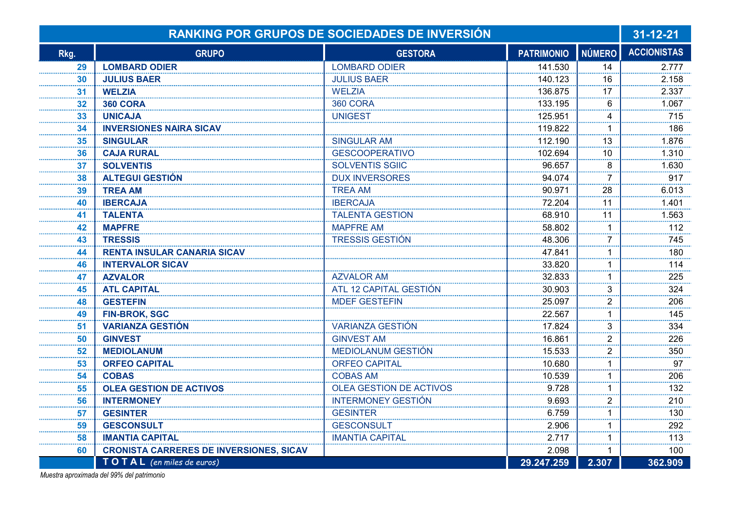|      | <b>RANKING POR GRUPOS DE SOCIEDADES DE INVERSIÓN</b> |                                |                   |                      |                    |
|------|------------------------------------------------------|--------------------------------|-------------------|----------------------|--------------------|
| Rkg. | <b>GRUPO</b>                                         | <b>GESTORA</b>                 | <b>PATRIMONIO</b> | <b>NÚMERO</b>        | <b>ACCIONISTAS</b> |
| 29   | <b>LOMBARD ODIER</b>                                 | <b>LOMBARD ODIER</b>           | 141.530           | 14                   | 2.777              |
| 30   | <b>JULIUS BAER</b>                                   | <b>JULIUS BAER</b>             | 140.123           | 16                   | 2.158              |
| 31   | <b>WELZIA</b>                                        | <b>WELZIA</b>                  | 136.875           | 17                   | 2.337              |
| 32   | <b>360 CORA</b>                                      | <b>360 CORA</b>                | 133.195           | 6                    | 1.067              |
| 33   | <b>UNICAJA</b>                                       | <b>UNIGEST</b>                 | 125.951           | 4                    | 715                |
| 34   | <b>INVERSIONES NAIRA SICAV</b>                       |                                | 119.822           | $\blacktriangleleft$ | 186                |
| 35   | <b>SINGULAR</b>                                      | <b>SINGULAR AM</b>             | 112.190           | 13                   | 1.876              |
| 36   | <b>CAJA RURAL</b>                                    | <b>GESCOOPERATIVO</b>          | 102.694           | 10                   | 1.310              |
| 37   | <b>SOLVENTIS</b>                                     | <b>SOLVENTIS SGIIC</b>         | 96.657            | 8                    | 1.630              |
| 38   | <b>ALTEGUI GESTIÓN</b>                               | <b>DUX INVERSORES</b>          | 94.074            | $\overline{7}$       | 917                |
| 39   | <b>TREA AM</b>                                       | <b>TREA AM</b>                 | 90.971            | 28                   | 6.013              |
| 40   | <b>IBERCAJA</b>                                      | <b>IBERCAJA</b>                | 72.204            | 11                   | 1.401              |
| 41   | <b>TALENTA</b>                                       | <b>TALENTA GESTION</b>         | 68.910            | 11                   | 1.563              |
| 42   | <b>MAPFRE</b>                                        | <b>MAPFRE AM</b>               | 58.802            | 1                    | 112                |
| 43   | <b>TRESSIS</b>                                       | <b>TRESSIS GESTIÓN</b>         | 48.306            | $\overline{7}$<br>   | 745                |
| 44   | <b>RENTA INSULAR CANARIA SICAV</b>                   |                                | 47.841            | $\mathbf{1}$         | 180                |
| 46   | <b>INTERVALOR SICAV</b>                              |                                | 33.820            | 1                    | 114                |
| 47   | <b>AZVALOR</b>                                       | <b>AZVALOR AM</b>              | 32.833            | 1                    | 225                |
| 45   | <b>ATL CAPITAL</b>                                   | ATL 12 CAPITAL GESTIÓN         | 30.903            | 3                    | 324                |
| 48   | <b>GESTEFIN</b>                                      | <b>MDEF GESTEFIN</b>           | 25.097            | 2                    | 206                |
| 49   | <b>FIN-BROK, SGC</b>                                 |                                | 22.567            | $\mathbf 1$          | 145                |
| 51   | <b>VARIANZA GESTIÓN</b>                              | <b>VARIANZA GESTIÓN</b>        | 17.824            | 3                    | 334                |
| 50   | <b>GINVEST</b>                                       | <b>GINVEST AM</b>              | 16.861            | 2                    | 226                |
| 52   | <b>MEDIOLANUM</b>                                    | MEDIOLANUM GESTIÓN             | 15.533            | 2                    | 350                |
| 53   | <b>ORFEO CAPITAL</b>                                 | <b>ORFEO CAPITAL</b>           | 10.680            | $\mathbf{1}$         | 97                 |
| 54   | <b>COBAS</b>                                         | <b>COBAS AM</b>                | 10.539            | $\mathbf 1$          | 206                |
| 55   | <b>OLEA GESTION DE ACTIVOS</b>                       | <b>OLEA GESTION DE ACTIVOS</b> | 9.728             | $\mathbf 1$          | 132                |
| 56   | <b>INTERMONEY</b>                                    | <b>INTERMONEY GESTIÓN</b>      | 9.693             | $\overline{2}$       | 210                |
| 57   | <b>GESINTER</b>                                      | <b>GESINTER</b>                | 6.759             | 1                    | 130                |
| 59   | <b>GESCONSULT</b>                                    | <b>GESCONSULT</b>              | 2.906             | 1                    | 292                |
| 58   | <b>IMANTIA CAPITAL</b>                               | <b>IMANTIA CAPITAL</b>         | 2.717             | $\mathbf 1$          | 113                |
| 60   | <b>CRONISTA CARRERES DE INVERSIONES, SICAV</b>       |                                | 2.098             | $\mathbf 1$          | 100                |
|      | TO TAL (en miles de euros)                           |                                | 29.247.259        | 2.307                | 362.909            |

Muestra aproximada del 99% del patrimonio